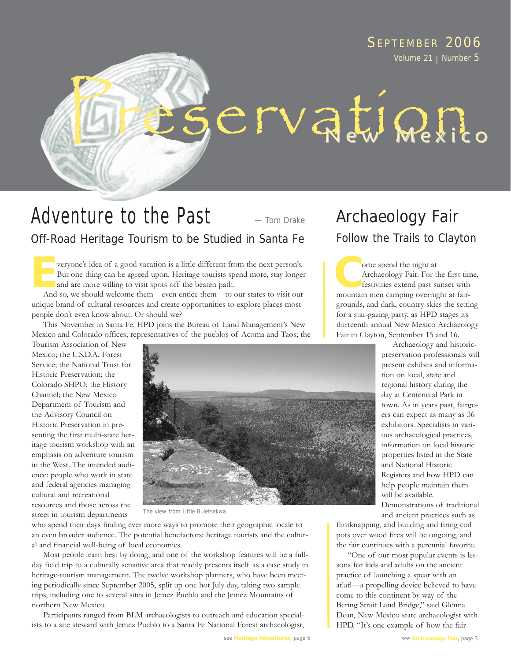### SEPTEMBER 2006 Volume 21 | Number 5

# ervation.

#### Adventure to the Past Off-Road Heritage Tourism to be Studied in Santa Fe — Tom Drake

veryone's idea of a good vacation is a little different from the next person's. But one thing can be agreed upon. Heritage tourists spend more, stay longer and are more willing to visit spots off the beaten path. veryone's idea of a good vacation is a little different from the next person's.<br>But one thing can be agreed upon. Heritage tourists spend more, stay longer<br>and are more willing to visit spots off the beaten path.<br>And so we

And so, we should welcome them—even entice them—to our states to visit our unique brand of cultural resources and create opportunities to explore places most people don't even know about. Or should we?

This November in Santa Fe, HPD joins the Bureau of Land Management's New Mexico and Colorado offices; representatives of the pueblos of Acoma and Taos; the

Tourism Association of New Mexico; the U.S.D.A. Forest Service; the National Trust for Historic Preservation; the Colorado SHPO; the History Channel; the New Mexico Department of Tourism and the Advisory Council on Historic Preservation in presenting the first multi-state heritage tourism workshop with an emphasis on adventure tourism in the West. The intended audience: people who work in state and federal agencies managing cultural and recreational resources and those across the street in tourism departments



The view from Little Buletsekwa

who spend their days finding ever more ways to promote their geographic locale to an even broader audience. The potential benefactors: heritage tourists and the cultural and financial well-being of local economies.

Most people learn best by doing, and one of the workshop features will be a fullday field trip to a culturally sensitive area that readily presents itself as a case study in heritage-tourism management. The twelve workshop planners, who have been meeting periodically since September 2005, split up one hot July day, taking two sample trips, including one to several sites in Jemez Pueblo and the Jemez Mountains of northern New Mexico.

Participants ranged from BLM archaeologists to outreach and education specialists to a site steward with Jemez Pueblo to a Santa Fe National Forest archaeologist,

# Archaeology Fair

Follow the Trails to Clayton

ome spend the night at Archaeology Fair. For the first time, festivities extend past sunset with mountain men camping overnight at fairgrounds, and dark, country skies the setting for a star-gazing party, as HPD stages its thirteenth annual New Mexico Archaeology Fair in Clayton, September 15 and 16.

> Archaeology and historicpreservation professionals will present exhibits and information on local, state and regional history during the day at Centennial Park in town. As in years past, fairgoers can expect as many as 36 exhibitors. Specialists in various archaeological practices, information on local historic properties listed in the State and National Historic Registers and how HPD can help people maintain them will be available.

> Demonstrations of traditional and ancient practices such as

flintknapping, and building and firing coil pots over wood fires will be ongoing, and the fair continues with a perennial favorite.

"One of our most popular events is lessons for kids and adults on the ancient practice of launching a spear with an atlatl—a propelling device believed to have come to this continent by way of the Bering Strait Land Bridge," said Glenna Dean, New Mexico state archaeologist with HPD. "It's one example of how the fair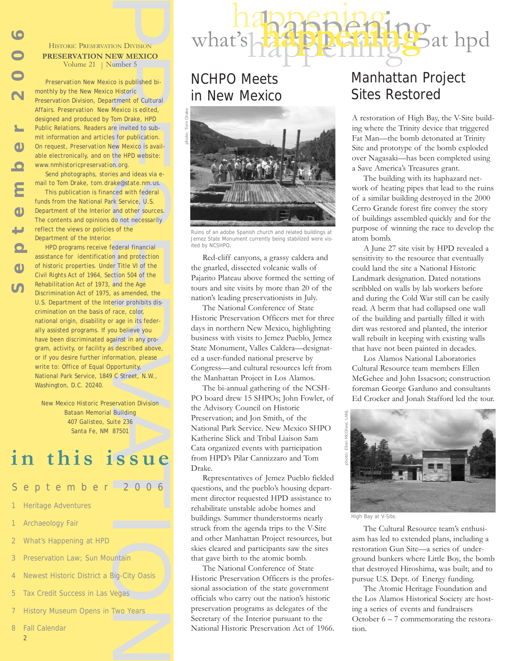

PRESERVATION DIVISION **PRESERVATION NEW MEXICO** Volume 21 | Number 5

*Preservation New Mexico* is published bimonthly by the New Mexico Historic Preservation Division, Department of Cultural Affairs. *Preservation New Mexico* is edited, designed and produced by Tom Drake, HPD Public Relations. Readers are invited to submit information and articles for publication. On request, *Preservation New Mexico* is available electronically, and on the HPD website: *www.nmhistoricpreservation.org*.

Send photographs, stories and ideas via email to Tom Drake, *tom.drake@state.nm.us*. This publication is financed with federal

funds from the National Park Service, U.S. Department of the Interior and other sources. The contents and opinions do not necessarily reflect the views or policies of the Department of the Interior.

From Division Control of the May and the Age of the Same of Cultural and professional contract of Cultural Mexico is edited, Mom Drake, HPD re invited to substrict the HPD website: the HPD website: the HPD website: the HPD Historica PRESERV<br>
Columentary by the<br>
Preservation Di<br>
Affairs. Preservation Di<br>
Affairs. Preservation Di<br>
Affairs. Preservation Di<br>
On request, Preservation<br>
con request, Preservation<br>
con request, Preservation<br>
mail to HPD programs receive federal financial assistance for identification and protection of historic properties. Under Title VI of the Civil Rights Act of 1964, Section 504 of the Rehabilitation Act of 1973, and the Age Discrimination Act of 1975, as amended, the U.S. Department of the Interior prohibits discrimination on the basis of race, color, national origin, disability or age in its federally assisted programs. If you believe you have been discriminated against in any program, activity, or facility as described above, or if you desire further information, please write to: Office of Equal Opportunity, National Park Service, 1849 C Street, N.W., Washington, D.C. 20240.

New Mexico Historic Preservation Division Bataan Memorial Building 407 Galisteo, Suite 236 Santa Fe, NM 87501

# **in this issue**

eptember 2006

- **Heritage Adventures**
- **Archaeology Fair**
- What's Happening at HPD
- Preservation Law: Sun Mountain
- Newest Historic District a Big-City Oasis
- Tax Credit Success in Las Vegas
- History Museum Opens in Two Years
- $\overline{8}$ **Fall Calendar** 
	- 2

## NCHPO Meets in New Mexico



happening

happening in the happening what's happening the state of the heat of the hand what's had

Ruins of an adobe Spanish church and related buildings at Jemez State Monument currently being stabilized were visited by NCSHPO.

Red-cliff canyons, a grassy caldera and the gnarled, dissected volcanic walls of Pajarito Plateau above formed the setting of tours and site visits by more than 20 of the nation's leading preservationists in July.

The National Conference of State Historic Preservation Officers met for three days in northern New Mexico, highlighting business with visits to Jemez Pueblo, Jemez State Monument, Valles Caldera—designated a user-funded national preserve by Congress—and cultural resources left from the Manhattan Project in Los Alamos.

The bi-annual gathering of the NCSH-PO board drew 15 SHPOs; John Fowler, of the Advisory Council on Historic Preservation; and Jon Smith, of the National Park Service. New Mexico SHPO Katherine Slick and Tribal Liaison Sam Cata organized events with participation from HPD's Pilar Cannizzaro and Tom Drake.

Representatives of Jemez Pueblo fielded questions, and the pueblo's housing department director requested HPD assistance to rehabilitate unstable adobe homes and buildings. Summer thunderstorms nearly struck from the agenda trips to the V-Site and other Manhattan Project resources, but skies cleared and participants saw the sites that gave birth to the atomic bomb.

The National Conference of State Historic Preservation Officers is the professional association of the state government officials who carry out the nation's historic preservation programs as delegates of the Secretary of the Interior pursuant to the National Historic Preservation Act of 1966.

# Manhattan Project Sites Restored

A restoration of High Bay, the V-Site building where the Trinity device that triggered Fat Man—the bomb detonated at Trinity Site and prototype of the bomb exploded over Nagasaki—has been completed using a Save America's Treasures grant.

The building with its haphazard network of heating pipes that lead to the ruins of a similar building destroyed in the 2000 Cerro Grande forest fire convey the story of buildings assembled quickly and for the purpose of winning the race to develop the atom bomb.

A June 27 site visit by HPD revealed a sensitivity to the resource that eventually could land the site a National Historic Landmark designation. Dated notations scribbled on walls by lab workers before and during the Cold War still can be easily read. A berm that had collapsed one wall of the building and partially filled it with dirt was restored and planted, the interior wall rebuilt in keeping with existing walls that have not been painted in decades.

Los Alamos National Laboratories Cultural Resource team members Ellen McGehee and John Issacson; construction foreman George Garduno and consultants Ed Crocker and Jonah Stafford led the tour.



The Cultural Resource team's enthusiasm has led to extended plans, including a restoration Gun Site—a series of underground bunkers where Little Boy, the bomb that destroyed Hiroshima, was built; and to pursue U.S. Dept. of Energy funding.

The Atomic Heritage Foundation and the Los Alamos Historical Society are hosting a series of events and fundraisers October  $6 - 7$  commemorating the restoration.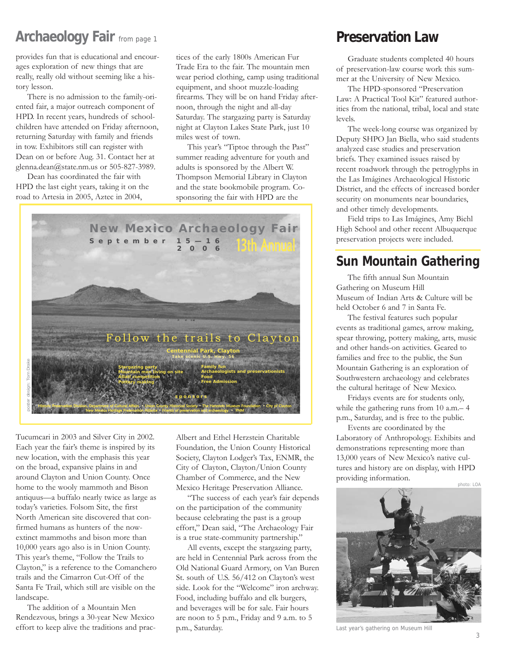## **Archaeology Fair** from page 1

provides fun that is educational and encourages exploration of new things that are really, really old without seeming like a history lesson.

There is no admission to the family-oriented fair, a major outreach component of HPD. In recent years, hundreds of schoolchildren have attended on Friday afternoon, returning Saturday with family and friends in tow. Exhibitors still can register with Dean on or before Aug. 31. Contact her at glenna.dean@state.nm.us or 505-827-3989.

Dean has coordinated the fair with HPD the last eight years, taking it on the road to Artesia in 2005, Aztec in 2004,

tices of the early 1800s American Fur Trade Era to the fair. The mountain men wear period clothing, camp using traditional equipment, and shoot muzzle-loading firearms. They will be on hand Friday afternoon, through the night and all-day Saturday. The stargazing party is Saturday night at Clayton Lakes State Park, just 10 miles west of town.

This year's "Tiptoe through the Past" summer reading adventure for youth and adults is sponsored by the Albert W. Thompson Memorial Library in Clayton and the state bookmobile program. Cosponsoring the fair with HPD are the



Tucumcari in 2003 and Silver City in 2002. Each year the fair's theme is inspired by its new location, with the emphasis this year on the broad, expansive plains in and around Clayton and Union County. Once home to the wooly mammoth and Bison antiquus—a buffalo nearly twice as large as today's varieties. Folsom Site, the first North American site discovered that confirmed humans as hunters of the nowextinct mammoths and bison more than 10,000 years ago also is in Union County. This year's theme, "Follow the Trails to Clayton," is a reference to the Comanchero trails and the Cimarron Cut-Off of the Santa Fe Trail, which still are visible on the landscape.

The addition of a Mountain Men Rendezvous, brings a 30-year New Mexico effort to keep alive the traditions and pracAlbert and Ethel Herzstein Charitable Foundation, the Union County Historical Society, Clayton Lodger's Tax, ENMR, the City of Clayton, Clayton/Union County Chamber of Commerce, and the New Mexico Heritage Preservation Alliance.

"The success of each year's fair depends on the participation of the community because celebrating the past is a group effort," Dean said, "The Archaeology Fair is a true state-community partnership."

All events, except the stargazing party, are held in Centennial Park across from the Old National Guard Armory, on Van Buren St. south of U.S. 56/412 on Clayton's west side. Look for the "Welcome" iron archway. Food, including buffalo and elk burgers, and beverages will be for sale. Fair hours are noon to 5 p.m., Friday and 9 a.m. to 5 p.m., Saturday.

## **Preservation Law**

Graduate students completed 40 hours of preservation-law course work this summer at the University of New Mexico.

The HPD-sponsored "Preservation Law: A Practical Tool Kit" featured authorities from the national, tribal, local and state levels.

The week-long course was organized by Deputy SHPO Jan Biella, who said students analyzed case studies and preservation briefs. They examined issues raised by recent roadwork through the petroglyphs in the Las Imágines Archaeological Historic District, and the effects of increased border security on monuments near boundaries. and other timely developments.

Field trips to Las Imágines, Amy Biehl High School and other recent Albuquerque preservation projects were included.

## **Sun Mountain Gathering**

The fifth annual Sun Mountain Gathering on Museum Hill Museum of Indian Arts & Culture will be held October 6 and 7 in Santa Fe.

The festival features such popular events as traditional games, arrow making, spear throwing, pottery making, arts, music and other hands-on activities. Geared to families and free to the public, the Sun Mountain Gathering is an exploration of Southwestern archaeology and celebrates the cultural heritage of New Mexico.

Fridays events are for students only, while the gathering runs from 10 a.m.– 4 p.m., Saturday, and is free to the public.

Events are coordinated by the Laboratory of Anthropology. Exhibits and demonstrations representing more than 13,000 years of New Mexico's native cultures and history are on display, with HPD providing information.



Last year's gathering on Museum Hill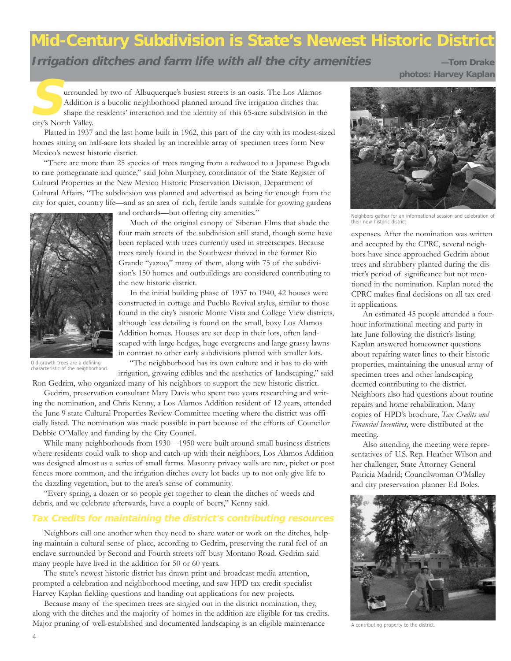# **Mid-Century Subdivision is State's Newest Historic District**

**Irrigation ditches and farm life with all the city amenities <b>Access —Tom Drake** 

**photos: Harvey Kaplan**

urrounded by two of Albuquerque's busiest streets is an oasis. The Los Alamos Addition is a bucolic neighborhood planned around five irrigation ditches that shape the residents' interaction and the identity of this 65-acre subdivision in the city's North Valley. **S**

Platted in 1937 and the last home built in 1962, this part of the city with its modest-sized homes sitting on half-acre lots shaded by an incredible array of specimen trees form New Mexico's newest historic district.

"There are more than 25 species of trees ranging from a redwood to a Japanese Pagoda to rare pomegranate and quince," said John Murphey, coordinator of the State Register of Cultural Properties at the New Mexico Historic Preservation Division, Department of Cultural Affairs. "The subdivision was planned and advertised as being far enough from the city for quiet, country life—and as an area of rich, fertile lands suitable for growing gardens



Old-growth trees are a defining characteristic of the neighborhood.

and orchards—but offering city amenities."

Much of the original canopy of Siberian Elms that shade the four main streets of the subdivision still stand, though some have been replaced with trees currently used in streetscapes. Because trees rarely found in the Southwest thrived in the former Rio Grande "yazoo," many of them, along with 75 of the subdivision's 150 homes and outbuildings are considered contributing to the new historic district.

In the initial building phase of 1937 to 1940, 42 houses were constructed in cottage and Pueblo Revival styles, similar to those found in the city's historic Monte Vista and College View districts, although less detailing is found on the small, boxy Los Alamos Addition homes. Houses are set deep in their lots, often landscaped with large hedges, huge evergreens and large grassy lawns in contrast to other early subdivisions platted with smaller lots.

"The neighborhood has its own culture and it has to do with irrigation, growing edibles and the aesthetics of landscaping," said

Ron Gedrim, who organized many of his neighbors to support the new historic district.

Gedrim, preservation consultant Mary Davis who spent two years researching and writing the nomination, and Chris Kenny, a Los Alamos Addition resident of 12 years, attended the June 9 state Cultural Properties Review Committee meeting where the district was officially listed. The nomination was made possible in part because of the efforts of Councilor Debbie O'Malley and funding by the City Council.

While many neighborhoods from 1930—1950 were built around small business districts where residents could walk to shop and catch-up with their neighbors, Los Alamos Addition was designed almost as a series of small farms. Masonry privacy walls are rare, picket or post fences more common, and the irrigation ditches every lot backs up to not only give life to the dazzling vegetation, but to the area's sense of community.

"Every spring, a dozen or so people get together to clean the ditches of weeds and debris, and we celebrate afterwards, have a couple of beers," Kenny said.

#### **Tax Credits for maintaining the district's contributing resources**

Neighbors call one another when they need to share water or work on the ditches, helping maintain a cultural sense of place, according to Gedrim, preserving the rural feel of an enclave surrounded by Second and Fourth streets off busy Montano Road. Gedrim said many people have lived in the addition for 50 or 60 years.

The state's newest historic district has drawn print and broadcast media attention, prompted a celebration and neighborhood meeting, and saw HPD tax credit specialist Harvey Kaplan fielding questions and handing out applications for new projects.

Because many of the specimen trees are singled out in the district nomination, they, along with the ditches and the majority of homes in the addition are eligible for tax credits. Major pruning of well-established and documented landscaping is an eligible maintenance



Neighbors gather for an informational session and celebration of their new historic district

expenses. After the nomination was written and accepted by the CPRC, several neighbors have since approached Gedrim about trees and shrubbery planted during the district's period of significance but not mentioned in the nomination. Kaplan noted the CPRC makes final decisions on all tax credit applications.

An estimated 45 people attended a fourhour informational meeting and party in late June following the district's listing. Kaplan answered homeowner questions about repairing water lines to their historic properties, maintaining the unusual array of specimen trees and other landscaping deemed contributing to the district. Neighbors also had questions about routine repairs and home rehabilitation. Many copies of HPD's brochure, *Tax Credits and Financial Incentives*, were distributed at the meeting.

Also attending the meeting were representatives of U.S. Rep. Heather Wilson and her challenger, State Attorney General Patricia Madrid; Councilwoman O'Malley and city preservation planner Ed Boles.



A contributing property to the district.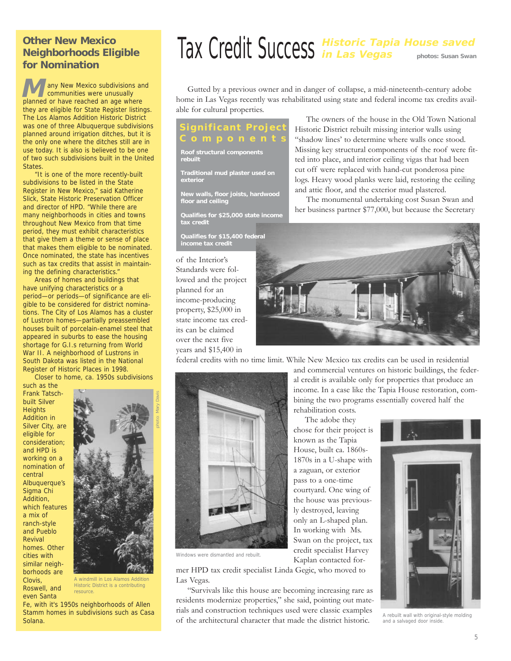#### **Other New Mexico Neighborhoods Eligible for Nomination**

any New Mexico subdivisions and communities were unusually planned or have reached an age where they are eligible for State Register listings. The Los Alamos Addition Historic District was one of three Albuquerque subdivisions planned around irrigation ditches, but it is the only one where the ditches still are in use today. It is also is believed to be one of two such subdivisions built in the United States. **M**

"It is one of the more recently-built subdivisions to be listed in the State Register in New Mexico," said Katherine Slick, State Historic Preservation Officer and director of HPD. "While there are many neighborhoods in cities and towns throughout New Mexico from that time period, they must exhibit characteristics that give them a theme or sense of place that makes them eligible to be nominated. Once nominated, the state has incentives such as tax credits that assist in maintaining the defining characteristics."

Areas of homes and buildings that have unifying characteristics or a period—or periods—of significance are eligible to be considered for district nominations. The City of Los Alamos has a cluster of Lustron homes—partially preassembled houses built of porcelain-enamel steel that appeared in suburbs to ease the housing shortage for G.I.s returning from World War II. A neighborhood of Lustrons in South Dakota was listed in the National Register of Historic Places in 1998.

Closer to home, ca. 1950s subdivisions

such as the Frank Tatschbuilt Silver **Heights** Addition in Silver City, are eligible for consideration; and HPD is working on a nomination of central Albuquerque's Sigma Chi Addition, which features a mix of ranch-style and Pueblo Revival homes. Other cities with similar neighborhoods are Clovis, Roswell, and even Santa



A windmill in Los Alamos Addition Historic District is a contributing resource.

Fe, with it's 1950s neighborhoods of Allen Stamm homes in subdivisions such as Casa Solana.

# **Historic Tapia House saved**  Tax Credit Success **in Las Vegas photos: Susan Swan**

Gutted by a previous owner and in danger of collapse, a mid-nineteenth-century adobe home in Las Vegas recently was rehabilitated using state and federal income tax credits available for cultural properties.

# **gnificant Pro**

**Roof structural components rebuilt**

**Traditional mud plaster used on exterior**

**New walls, floor joists, hardwood floor and ceiling**

**Qualifies for \$25,000 state income tax credit**

**Qualifies for \$15,400 federal income tax credit**

of the Interior's Standards were followed and the project planned for an income-producing property, \$25,000 in state income tax credits can be claimed over the next five years and \$15,400 in

The owners of the house in the Old Town National Historic District rebuilt missing interior walls using "shadow lines' to determine where walls once stood. Missing key structural components of the roof were fitted into place, and interior ceiling vigas that had been cut off were replaced with hand-cut ponderosa pine logs. Heavy wood planks were laid, restoring the ceiling and attic floor, and the exterior mud plastered.

The monumental undertaking cost Susan Swan and her business partner \$77,000, but because the Secretary

and commercial ventures on historic buildings, the federal credit is available only for properties that produce an income. In a case like the Tapia House restoration, combining the two programs essentially covered half the



federal credits with no time limit. While New Mexico tax credits can be used in residential

rehabilitation costs. The adobe they chose for their project is known as the Tapia House, built ca. 1860s-1870s in a U-shape with a zaguan, or exterior pass to a one-time courtyard. One wing of the house was previously destroyed, leaving only an L-shaped plan. In working with Ms. Swan on the project, tax credit specialist Harvey Kaplan contacted for-



Windows were dismantled and rebuilt.

mer HPD tax credit specialist Linda Gegic, who moved to Las Vegas.

"Survivals like this house are becoming increasing rare as residents modernize properties," she said, pointing out materials and construction techniques used were classic examples of the architectural character that made the district historic.



A rebuilt wall with original-style molding and a salvaged door inside.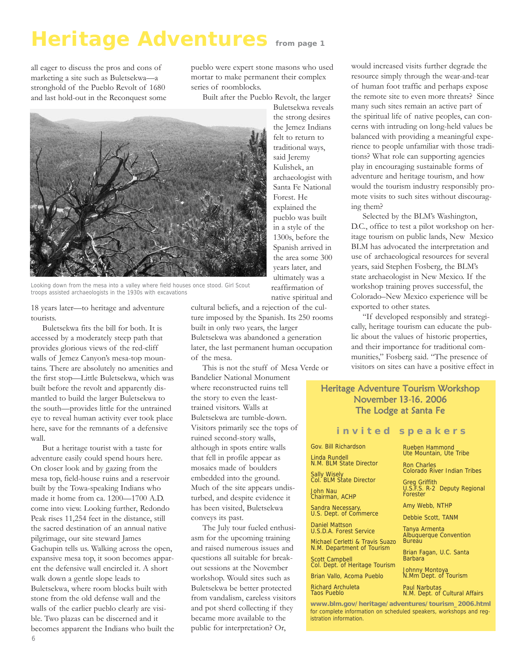# **Heritage Adventures from page 1**

all eager to discuss the pros and cons of marketing a site such as Buletsekwa—a stronghold of the Pueblo Revolt of 1680 and last hold-out in the Reconquest some pueblo were expert stone masons who used mortar to make permanent their complex series of roomblocks.

Built after the Pueblo Revolt, the larger



Looking down from the mesa into a valley where field houses once stood. Girl Scout troops assisted archaeologists in the 1930s with excavations

18 years later—to heritage and adventure tourists.

Buletsekwa fits the bill for both. It is accessed by a moderately steep path that provides glorious views of the red-cliff walls of Jemez Canyon's mesa-top mountains. There are absolutely no amenities and the first stop—Little Buletsekwa, which was built before the revolt and apparently dismantled to build the larger Buletsekwa to the south—provides little for the untrained eye to reveal human activity ever took place here, save for the remnants of a defensive wall.

But a heritage tourist with a taste for adventure easily could spend hours here. On closer look and by gazing from the mesa top, field-house ruins and a reservoir built by the Towa-speaking Indians who made it home from ca. 1200—1700 A.D. come into view. Looking further, Redondo Peak rises 11,254 feet in the distance, still the sacred destination of an annual native pilgrimage, our site steward James Gachupin tells us. Walking across the open, expansive mesa top, it soon becomes apparent the defensive wall encircled it. A short walk down a gentle slope leads to Buletsekwa, where room blocks built with stone from the old defense wall and the walls of the earlier pueblo clearly are visible. Two plazas can be discerned and it becomes apparent the Indians who built the

Buletsekwa reveals the strong desires the Jemez Indians felt to return to traditional ways, said Jeremy Kulishek, an archaeologist with Santa Fe National Forest. He explained the pueblo was built in a style of the 1300s, before the Spanish arrived in the area some 300 years later, and ultimately was a reaffirmation of native spiritual and

cultural beliefs, and a rejection of the culture imposed by the Spanish. Its 250 rooms built in only two years, the larger Buletsekwa was abandoned a generation later, the last permanent human occupation of the mesa.

This is not the stuff of Mesa Verde or Bandelier National Monument where reconstructed ruins tell the story to even the leasttrained visitors. Walls at Buletsekwa are tumble-down. Visitors primarily see the tops of ruined second-story walls, although in spots entire walls that fell in profile appear as mosaics made of boulders embedded into the ground. Much of the site appears undisturbed, and despite evidence it has been visited, Buletsekwa conveys its past.

The July tour fueled enthusiasm for the upcoming training and raised numerous issues and questions all suitable for breakout sessions at the November workshop. Would sites such as Buletsekwa be better protected from vandalism, careless visitors and pot sherd collecting if they became more available to the public for interpretation? Or,

would increased visits further degrade the resource simply through the wear-and-tear of human foot traffic and perhaps expose the remote site to even more threats? Since many such sites remain an active part of the spiritual life of native peoples, can concerns with intruding on long-held values be balanced with providing a meaningful experience to people unfamiliar with those traditions? What role can supporting agencies play in encouraging sustainable forms of adventure and heritage tourism, and how would the tourism industry responsibly promote visits to such sites without discouraging them?

Selected by the BLM's Washington, D.C., office to test a pilot workshop on heritage tourism on public lands, New Mexico BLM has advocated the interpretation and use of archaeological resources for several years, said Stephen Fosberg, the BLM's state archaeologist in New Mexico. If the workshop training proves successful, the Colorado–New Mexico experience will be exported to other states.

"If developed responsibly and strategically, heritage tourism can educate the public about the values of historic properties, and their importance for traditional communities," Fosberg said. "The presence of visitors on sites can have a positive effect in

#### Heritage Adventure Tourism Workshop November 13-16. 2006 The Lodge at Santa Fe

#### **invited speakers**

Gov. Bill Richardson

Linda Rundell N.M. BLM State Director

Sally Wisely Col. BLM State Director

John Nau Chairman, ACHP

Sandra Necessary, U.S. Dept. of Commerce

Daniel Mattson U.S.D.A. Forest Service

Michael Cerletti & Travis Suazo N.M. Department of Tourism Scott Campbell

Col. Dept. of Heritage Tourism Brian Vallo, Acoma Pueblo

Richard Archuleta Taos Pueblo

**www.blm.gov/heritage/adventures/tourism\_2006.html** for complete information on scheduled speakers, workshops and registration information.

Rueben Hammond Ute Mountain, Ute Tribe

Ron Charles Colorado River Indian Tribes

Greg Griffith U.S.F.S. R-2 Deputy Regional Forester

Amy Webb, NTHP

Debbie Scott, TANM

Tanya Armenta Albuquerque Convention **Bureau** 

Brian Fagan, U.C. Santa **Barbara** 

Johnny Montoya N.Mm Dept. of Tourism

Paul Narbutas N.M. Dept. of Cultural Affairs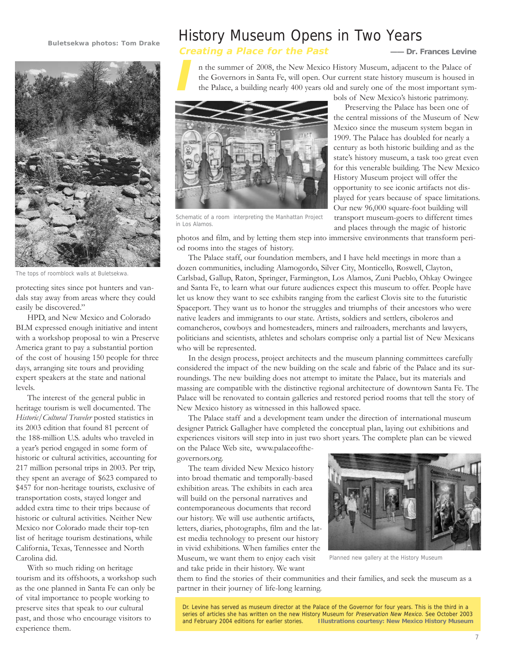#### **Buletsekwa photos: Tom Drake**



The tops of roomblock walls at Buletsekwa.

protecting sites since pot hunters and vandals stay away from areas where they could easily be discovered."

HPD, and New Mexico and Colorado BLM expressed enough initiative and intent with a workshop proposal to win a Preserve America grant to pay a substantial portion of the cost of housing 150 people for three days, arranging site tours and providing expert speakers at the state and national levels.

The interest of the general public in heritage tourism is well documented. The *Historic/Cultural Traveler* posted statistics in its 2003 edition that found 81 percent of the 188-million U.S. adults who traveled in a year's period engaged in some form of historic or cultural activities, accounting for 217 million personal trips in 2003. Per trip, they spent an average of \$623 compared to \$457 for non-heritage tourists, exclusive of transportation costs, stayed longer and added extra time to their trips because of historic or cultural activities. Neither New Mexico nor Colorado made their top-ten list of heritage tourism destinations, while California, Texas, Tennessee and North Carolina did.

With so much riding on heritage tourism and its offshoots, a workshop such as the one planned in Santa Fe can only be of vital importance to people working to preserve sites that speak to our cultural past, and those who encourage visitors to experience them.

## History Museum Opens in Two Years

#### **Creating a Place for the Past —— Dr. Frances Levine**

n the summer of 2008, the New Mexico History Museum, adjacent to the Palace of the Governors in Santa Fe, will open. Our current state history museum is housed in the Palace, a building nearly 400 years old and surely one of the most important sym-



Schematic of a room interpreting the Manhattan Project in Los Alamos.

bols of New Mexico's historic patrimony.

Preserving the Palace has been one of the central missions of the Museum of New Mexico since the museum system began in 1909. The Palace has doubled for nearly a century as both historic building and as the state's history museum, a task too great even for this venerable building. The New Mexico History Museum project will offer the opportunity to see iconic artifacts not displayed for years because of space limitations. Our new 96,000 square-foot building will transport museum-goers to different times and places through the magic of historic

photos and film, and by letting them step into immersive environments that transform period rooms into the stages of history.

The Palace staff, our foundation members, and I have held meetings in more than a dozen communities, including Alamogordo, Silver City, Monticello, Roswell, Clayton, Carlsbad, Gallup, Raton, Springer, Farmington, Los Alamos, Zuni Pueblo, Ohkay Owingee and Santa Fe, to learn what our future audiences expect this museum to offer. People have let us know they want to see exhibits ranging from the earliest Clovis site to the futuristic Spaceport. They want us to honor the struggles and triumphs of their ancestors who were native leaders and immigrants to our state. Artists, soldiers and settlers, ciboleros and comancheros, cowboys and homesteaders, miners and railroaders, merchants and lawyers, politicians and scientists, athletes and scholars comprise only a partial list of New Mexicans who will be represented.

In the design process, project architects and the museum planning committees carefully considered the impact of the new building on the scale and fabric of the Palace and its surroundings. The new building does not attempt to imitate the Palace, but its materials and massing are compatible with the distinctive regional architecture of downtown Santa Fe. The Palace will be renovated to contain galleries and restored period rooms that tell the story of New Mexico history as witnessed in this hallowed space.

The Palace staff and a development team under the direction of international museum designer Patrick Gallagher have completed the conceptual plan, laying out exhibitions and experiences visitors will step into in just two short years. The complete plan can be viewed on the Palace Web site, www.palaceofthe-

governors.org.

The team divided New Mexico history into broad thematic and temporally-based exhibition areas. The exhibits in each area will build on the personal narratives and contemporaneous documents that record our history. We will use authentic artifacts, letters, diaries, photographs, film and the latest media technology to present our history in vivid exhibitions. When families enter the Museum, we want them to enjoy each visit and take pride in their history. We want



Planned new gallery at the History Museum

them to find the stories of their communities and their families, and seek the museum as a partner in their journey of life-long learning.

Dr. Levine has served as museum director at the Palace of the Governor for four years. This is the third in a series of articles she has written on the new History Museum for Preservation New Mexico. See October 2003 and February 2004 editions for earlier stories. **Illustrations courtesy: New Mexico History Museum**